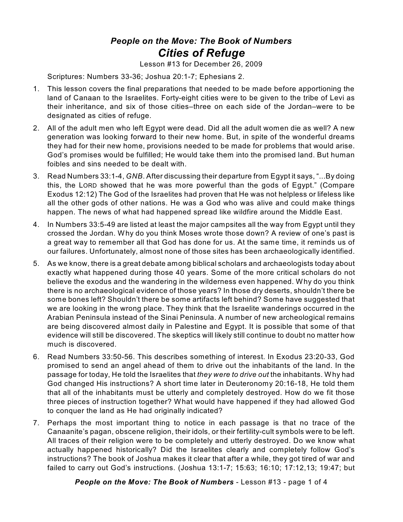## *People on the Move: The Book of Numbers Cities of Refuge*

Lesson #13 for December 26, 2009

Scriptures: Numbers 33-36; Joshua 20:1-7; Ephesians 2.

- 1. This lesson covers the final preparations that needed to be made before apportioning the land of Canaan to the Israelites. Forty-eight cities were to be given to the tribe of Levi as their inheritance, and six of those cities–three on each side of the Jordan–were to be designated as cities of refuge.
- 2. All of the adult men who left Egypt were dead. Did all the adult women die as well? A new generation was looking forward to their new home. But, in spite of the wonderful dreams they had for their new home, provisions needed to be made for problems that would arise. God's promises would be fulfilled; He would take them into the promised land. But human foibles and sins needed to be dealt with.
- 3. Read Numbers 33:1-4, *GNB*. After discussing their departure from Egypt it says, "...By doing this, the LORD showed that he was more powerful than the gods of Egypt." (Compare Exodus 12:12) The God of the Israelites had proven that He was not helpless or lifeless like all the other gods of other nations. He was a God who was alive and could make things happen. The news of what had happened spread like wildfire around the Middle East.
- 4. In Numbers 33:5-49 are listed at least the major campsites all the way from Egypt until they crossed the Jordan. Why do you think Moses wrote those down? A review of one's past is a great way to remember all that God has done for us. At the same time, it reminds us of our failures. Unfortunately, almost none of those sites has been archaeologically identified.
- 5. As we know, there is a great debate among biblical scholars and archaeologists today about exactly what happened during those 40 years. Some of the more critical scholars do not believe the exodus and the wandering in the wilderness even happened. Why do you think there is no archaeological evidence of those years? In those dry deserts, shouldn't there be some bones left? Shouldn't there be some artifacts left behind? Some have suggested that we are looking in the wrong place. They think that the Israelite wanderings occurred in the Arabian Peninsula instead of the Sinai Peninsula. A number of new archeological remains are being discovered almost daily in Palestine and Egypt. It is possible that some of that evidence will still be discovered. The skeptics will likely still continue to doubt no matter how much is discovered.
- 6. Read Numbers 33:50-56. This describes something of interest. In Exodus 23:20-33, God promised to send an angel ahead of them to drive out the inhabitants of the land. In the passage for today, He told the Israelites that *they were to drive out* the inhabitants. Why had God changed His instructions? A short time later in Deuteronomy 20:16-18, He told them that all of the inhabitants must be utterly and completely destroyed. How do we fit those three pieces of instruction together? What would have happened if they had allowed God to conquer the land as He had originally indicated?
- 7. Perhaps the most important thing to notice in each passage is that no trace of the Canaanite's pagan, obscene religion, their idols, or their fertility-cult symbols were to be left. All traces of their religion were to be completely and utterly destroyed. Do we know what actually happened historically? Did the Israelites clearly and completely follow God's instructions? The book of Joshua makes it clear that after a while, they got tired of war and failed to carry out God's instructions. (Joshua 13:1-7; 15:63; 16:10; 17:12,13; 19:47; but

*People on the Move: The Book of Numbers* - Lesson #13 - page 1 of 4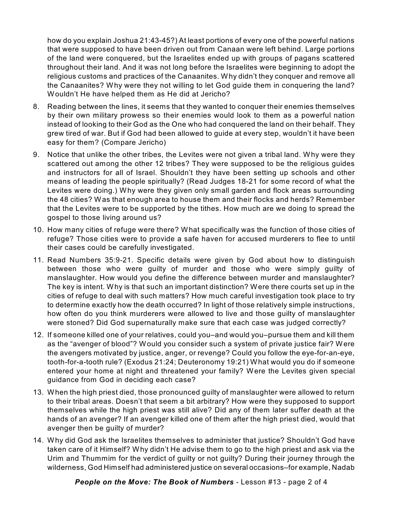how do you explain Joshua 21:43-45?) At least portions of every one of the powerful nations that were supposed to have been driven out from Canaan were left behind. Large portions of the land were conquered, but the Israelites ended up with groups of pagans scattered throughout their land. And it was not long before the Israelites were beginning to adopt the religious customs and practices of the Canaanites. Why didn't they conquer and remove all the Canaanites? Why were they not willing to let God guide them in conquering the land? Wouldn't He have helped them as He did at Jericho?

- 8. Reading between the lines, it seems that they wanted to conquer their enemies themselves by their own military prowess so their enemies would look to them as a powerful nation instead of looking to their God as the One who had conquered the land on their behalf. They grew tired of war. But if God had been allowed to guide at every step, wouldn't it have been easy for them? (Compare Jericho)
- 9. Notice that unlike the other tribes, the Levites were not given a tribal land. Why were they scattered out among the other 12 tribes? They were supposed to be the religious guides and instructors for all of Israel. Shouldn't they have been setting up schools and other means of leading the people spiritually? (Read Judges 18-21 for some record of what the Levites were doing.) Why were they given only small garden and flock areas surrounding the 48 cities? Was that enough area to house them and their flocks and herds? Remember that the Levites were to be supported by the tithes. How much are we doing to spread the gospel to those living around us?
- 10. How many cities of refuge were there? What specifically was the function of those cities of refuge? Those cities were to provide a safe haven for accused murderers to flee to until their cases could be carefully investigated.
- 11. Read Numbers 35:9-21. Specific details were given by God about how to distinguish between those who were guilty of murder and those who were simply guilty of manslaughter. How would you define the difference between murder and manslaughter? The key is intent. Why is that such an important distinction? Were there courts set up in the cities of refuge to deal with such matters? How much careful investigation took place to try to determine exactly how the death occurred? In light of those relatively simple instructions, how often do you think murderers were allowed to live and those guilty of manslaughter were stoned? Did God supernaturally make sure that each case was judged correctly?
- 12. If someone killed one of your relatives, could you–and would you–pursue them and kill them as the "avenger of blood"? Would you consider such a system of private justice fair? Were the avengers motivated by justice, anger, or revenge? Could you follow the eye-for-an-eye, tooth-for-a-tooth rule? (Exodus 21:24; Deuteronomy 19:21) What would you do if someone entered your home at night and threatened your family? Were the Levites given special guidance from God in deciding each case?
- 13. When the high priest died, those pronounced guilty of manslaughter were allowed to return to their tribal areas. Doesn't that seem a bit arbitrary? How were they supposed to support themselves while the high priest was still alive? Did any of them later suffer death at the hands of an avenger? If an avenger killed one of them after the high priest died, would that avenger then be guilty of murder?
- 14. Why did God ask the Israelites themselves to administer that justice? Shouldn't God have taken care of it Himself? Why didn't He advise them to go to the high priest and ask via the Urim and Thummim for the verdict of guilty or not guilty? During their journey through the wilderness, God Himself had administered justice on several occasions–for example, Nadab

*People on the Move: The Book of Numbers* - Lesson #13 - page 2 of 4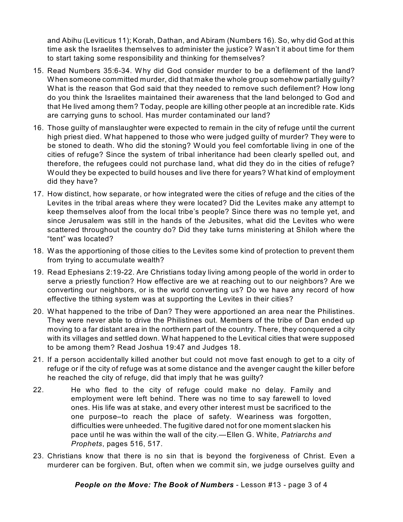and Abihu (Leviticus 11); Korah, Dathan, and Abiram (Numbers 16). So, why did God at this time ask the Israelites themselves to administer the justice? Wasn't it about time for them to start taking some responsibility and thinking for themselves?

- 15. Read Numbers 35:6-34. Why did God consider murder to be a defilement of the land? When someone committed murder, did that make the whole group somehow partially guilty? What is the reason that God said that they needed to remove such defilement? How long do you think the Israelites maintained their awareness that the land belonged to God and that He lived among them? Today, people are killing other people at an incredible rate. Kids are carrying guns to school. Has murder contaminated our land?
- 16. Those guilty of manslaughter were expected to remain in the city of refuge until the current high priest died. What happened to those who were judged guilty of murder? They were to be stoned to death. Who did the stoning? Would you feel comfortable living in one of the cities of refuge? Since the system of tribal inheritance had been clearly spelled out, and therefore, the refugees could not purchase land, what did they do in the cities of refuge? Would they be expected to build houses and live there for years? What kind of employment did they have?
- 17. How distinct, how separate, or how integrated were the cities of refuge and the cities of the Levites in the tribal areas where they were located? Did the Levites make any attempt to keep themselves aloof from the local tribe's people? Since there was no temple yet, and since Jerusalem was still in the hands of the Jebusites, what did the Levites who were scattered throughout the country do? Did they take turns ministering at Shiloh where the "tent" was located?
- 18. Was the apportioning of those cities to the Levites some kind of protection to prevent them from trying to accumulate wealth?
- 19. Read Ephesians 2:19-22. Are Christians today living among people of the world in order to serve a priestly function? How effective are we at reaching out to our neighbors? Are we converting our neighbors, or is the world converting us? Do we have any record of how effective the tithing system was at supporting the Levites in their cities?
- 20. What happened to the tribe of Dan? They were apportioned an area near the Philistines. They were never able to drive the Philistines out. Members of the tribe of Dan ended up moving to a far distant area in the northern part of the country. There, they conquered a city with its villages and settled down. What happened to the Levitical cities that were supposed to be among them? Read Joshua 19:47 and Judges 18.
- 21. If a person accidentally killed another but could not move fast enough to get to a city of refuge or if the city of refuge was at some distance and the avenger caught the killer before he reached the city of refuge, did that imply that he was guilty?
- 22. He who fled to the city of refuge could make no delay. Family and employment were left behind. There was no time to say farewell to loved ones. His life was at stake, and every other interest must be sacrificed to the one purpose–to reach the place of safety. Weariness was forgotten, difficulties were unheeded. The fugitive dared not for one moment slacken his pace until he was within the wall of the city.—Ellen G. White, *Patriarchs and Prophets*, pages 516, 517.
- 23. Christians know that there is no sin that is beyond the forgiveness of Christ. Even a murderer can be forgiven. But, often when we commit sin, we judge ourselves guilty and